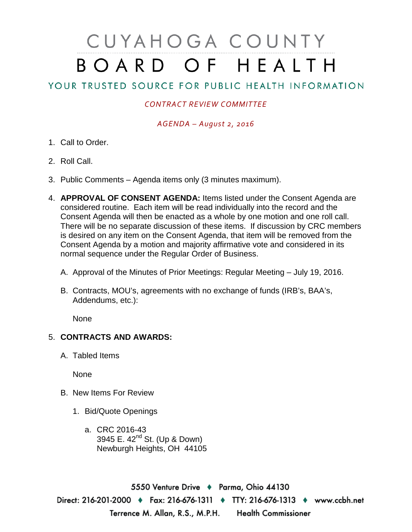# CUYAHOGA COUNTY BOARD OF HEALTH

## YOUR TRUSTED SOURCE FOR PUBLIC HEALTH INFORMATION

### *CONTRACT REVIEW COMMITTEE*

#### *AGENDA – August 2, 2016*

- 1. Call to Order.
- 2. Roll Call.
- 3. Public Comments Agenda items only (3 minutes maximum).
- 4. **APPROVAL OF CONSENT AGENDA:** Items listed under the Consent Agenda are considered routine. Each item will be read individually into the record and the Consent Agenda will then be enacted as a whole by one motion and one roll call. There will be no separate discussion of these items. If discussion by CRC members is desired on any item on the Consent Agenda, that item will be removed from the Consent Agenda by a motion and majority affirmative vote and considered in its normal sequence under the Regular Order of Business.
	- A. Approval of the Minutes of Prior Meetings: Regular Meeting July 19, 2016.
	- B. Contracts, MOU's, agreements with no exchange of funds (IRB's, BAA's, Addendums, etc.):

None

### 5. **CONTRACTS AND AWARDS:**

A. Tabled Items

None

- B. New Items For Review
	- 1. Bid/Quote Openings
		- a. CRC 2016-43 3945 E. 42<sup>nd</sup> St. (Up & Down) Newburgh Heights, OH 44105

5550 Venture Drive + Parma, Ohio 44130 Direct: 216-201-2000 • Fax: 216-676-1311 • TTY: 216-676-1313 • www.ccbh.net Terrence M. Allan, R.S., M.P.H. Health Commissioner